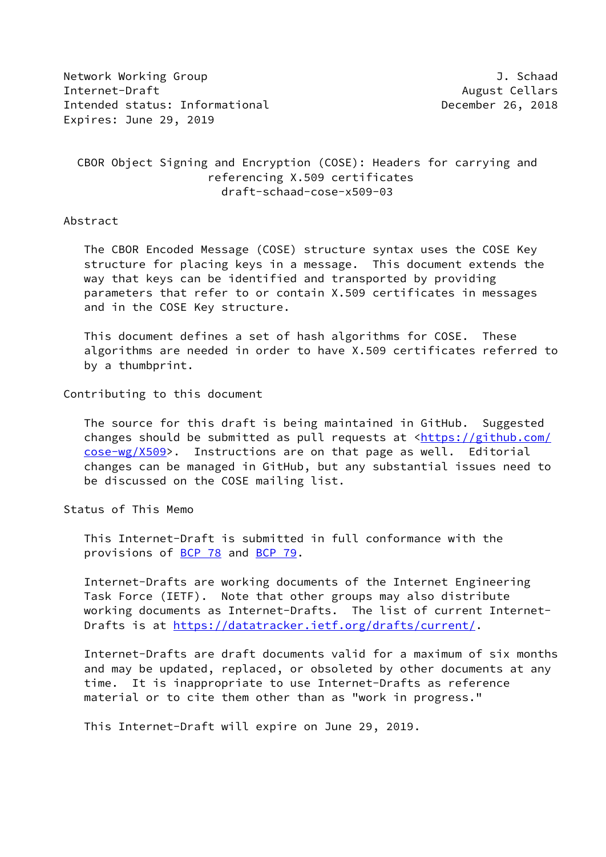Network Working Group **J. Schaad** Internet-Draft August Cellars Intended status: Informational **December 26, 2018** Expires: June 29, 2019

# CBOR Object Signing and Encryption (COSE): Headers for carrying and referencing X.509 certificates draft-schaad-cose-x509-03

### Abstract

 The CBOR Encoded Message (COSE) structure syntax uses the COSE Key structure for placing keys in a message. This document extends the way that keys can be identified and transported by providing parameters that refer to or contain X.509 certificates in messages and in the COSE Key structure.

 This document defines a set of hash algorithms for COSE. These algorithms are needed in order to have X.509 certificates referred to by a thumbprint.

#### Contributing to this document

 The source for this draft is being maintained in GitHub. Suggested changes should be submitted as pull requests at [<https://github.com/](https://github.com/cose-wg/X509) [cose-wg/X509](https://github.com/cose-wg/X509)>. Instructions are on that page as well. Editorial changes can be managed in GitHub, but any substantial issues need to be discussed on the COSE mailing list.

## Status of This Memo

 This Internet-Draft is submitted in full conformance with the provisions of [BCP 78](https://datatracker.ietf.org/doc/pdf/bcp78) and [BCP 79](https://datatracker.ietf.org/doc/pdf/bcp79).

 Internet-Drafts are working documents of the Internet Engineering Task Force (IETF). Note that other groups may also distribute working documents as Internet-Drafts. The list of current Internet- Drafts is at<https://datatracker.ietf.org/drafts/current/>.

 Internet-Drafts are draft documents valid for a maximum of six months and may be updated, replaced, or obsoleted by other documents at any time. It is inappropriate to use Internet-Drafts as reference material or to cite them other than as "work in progress."

This Internet-Draft will expire on June 29, 2019.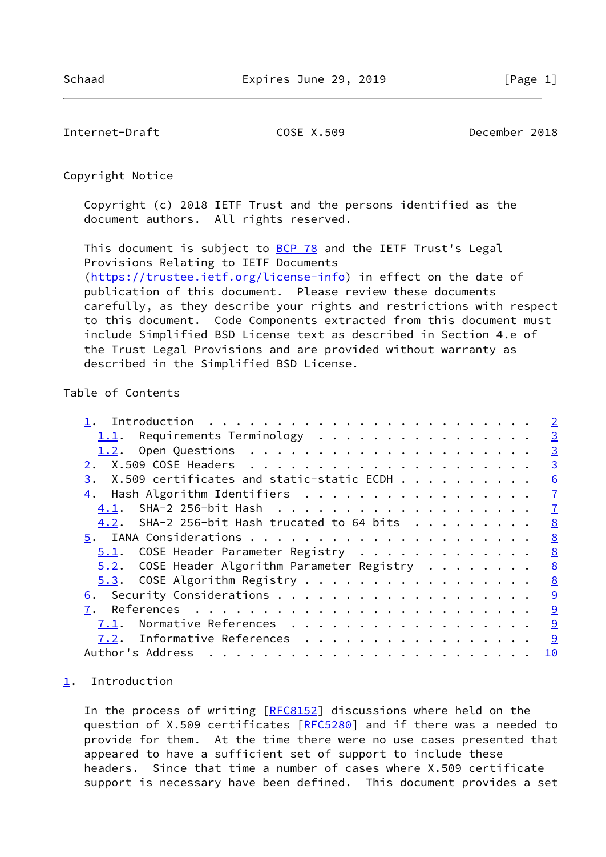<span id="page-1-1"></span>Internet-Draft COSE X.509 December 2018

Copyright Notice

 Copyright (c) 2018 IETF Trust and the persons identified as the document authors. All rights reserved.

This document is subject to **[BCP 78](https://datatracker.ietf.org/doc/pdf/bcp78)** and the IETF Trust's Legal Provisions Relating to IETF Documents [\(https://trustee.ietf.org/license-info](https://trustee.ietf.org/license-info)) in effect on the date of publication of this document. Please review these documents carefully, as they describe your rights and restrictions with respect to this document. Code Components extracted from this document must include Simplified BSD License text as described in Section 4.e of the Trust Legal Provisions and are provided without warranty as described in the Simplified BSD License.

## Table of Contents

|                                                  | $\overline{2}$ |
|--------------------------------------------------|----------------|
| 1.1. Requirements Terminology                    | $\overline{3}$ |
| 1.2.                                             | $\overline{3}$ |
|                                                  | $\overline{3}$ |
| X.509 certificates and static-static ECDH<br>3.  | 6              |
| Hash Algorithm Identifiers                       | $\overline{1}$ |
|                                                  | $\overline{1}$ |
| 4.2. SHA-2 256-bit Hash trucated to 64 bits      | 8              |
|                                                  | 8              |
| 5.1. COSE Header Parameter Registry              | 8              |
| $5.2$ . COSE Header Algorithm Parameter Registry | 8              |
| 5.3. COSE Algorithm Registry                     | 8              |
| <u>6</u> .                                       | 9              |
| 7.                                               | 9              |
| Normative References<br>7.1.                     | 9              |
| <u>7.2</u> . Informative References              | 9              |
| Author's Address                                 | 10             |
|                                                  |                |

## <span id="page-1-0"></span>[1](#page-1-0). Introduction

In the process of writing [[RFC8152](https://datatracker.ietf.org/doc/pdf/rfc8152)] discussions where held on the question of X.509 certificates [\[RFC5280](https://datatracker.ietf.org/doc/pdf/rfc5280)] and if there was a needed to provide for them. At the time there were no use cases presented that appeared to have a sufficient set of support to include these headers. Since that time a number of cases where X.509 certificate support is necessary have been defined. This document provides a set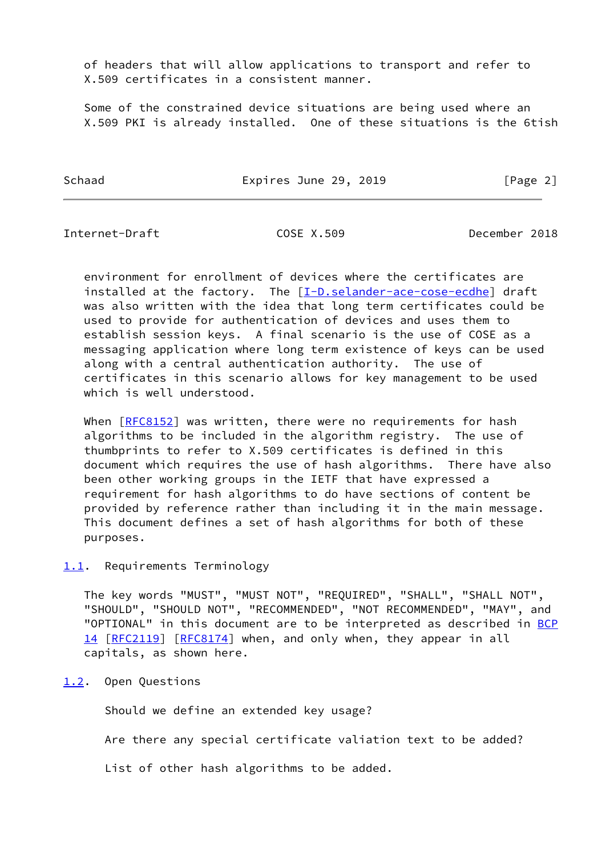of headers that will allow applications to transport and refer to X.509 certificates in a consistent manner.

 Some of the constrained device situations are being used where an X.509 PKI is already installed. One of these situations is the 6tish

Schaad **Expires June 29, 2019** [Page 2]

<span id="page-2-1"></span>Internet-Draft COSE X.509 December 2018

 environment for enrollment of devices where the certificates are installed at the factory. The [\[I-D.selander-ace-cose-ecdhe](#page-10-1)] draft was also written with the idea that long term certificates could be used to provide for authentication of devices and uses them to establish session keys. A final scenario is the use of COSE as a messaging application where long term existence of keys can be used along with a central authentication authority. The use of certificates in this scenario allows for key management to be used which is well understood.

When [\[RFC8152](https://datatracker.ietf.org/doc/pdf/rfc8152)] was written, there were no requirements for hash algorithms to be included in the algorithm registry. The use of thumbprints to refer to X.509 certificates is defined in this document which requires the use of hash algorithms. There have also been other working groups in the IETF that have expressed a requirement for hash algorithms to do have sections of content be provided by reference rather than including it in the main message. This document defines a set of hash algorithms for both of these purposes.

<span id="page-2-0"></span>[1.1](#page-2-0). Requirements Terminology

 The key words "MUST", "MUST NOT", "REQUIRED", "SHALL", "SHALL NOT", "SHOULD", "SHOULD NOT", "RECOMMENDED", "NOT RECOMMENDED", "MAY", and "OPTIONAL" in this document are to be interpreted as described in [BCP](https://datatracker.ietf.org/doc/pdf/bcp14) [14](https://datatracker.ietf.org/doc/pdf/bcp14) [[RFC2119\]](https://datatracker.ietf.org/doc/pdf/rfc2119) [\[RFC8174](https://datatracker.ietf.org/doc/pdf/rfc8174)] when, and only when, they appear in all capitals, as shown here.

<span id="page-2-2"></span>[1.2](#page-2-2). Open Questions

Should we define an extended key usage?

Are there any special certificate valiation text to be added?

List of other hash algorithms to be added.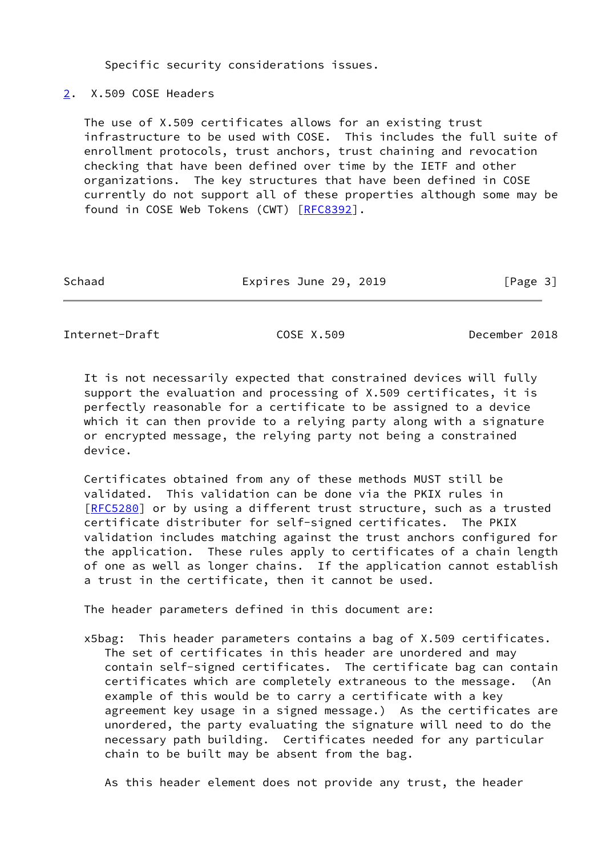Specific security considerations issues.

<span id="page-3-0"></span>[2](#page-3-0). X.509 COSE Headers

 The use of X.509 certificates allows for an existing trust infrastructure to be used with COSE. This includes the full suite of enrollment protocols, trust anchors, trust chaining and revocation checking that have been defined over time by the IETF and other organizations. The key structures that have been defined in COSE currently do not support all of these properties although some may be found in COSE Web Tokens (CWT) [\[RFC8392](https://datatracker.ietf.org/doc/pdf/rfc8392)].

| Schaad | Expires June 29, 2019 | [Page 3] |
|--------|-----------------------|----------|
|        |                       |          |

Internet-Draft COSE X.509 December 2018

 It is not necessarily expected that constrained devices will fully support the evaluation and processing of X.509 certificates, it is perfectly reasonable for a certificate to be assigned to a device which it can then provide to a relying party along with a signature or encrypted message, the relying party not being a constrained device.

 Certificates obtained from any of these methods MUST still be validated. This validation can be done via the PKIX rules in [\[RFC5280](https://datatracker.ietf.org/doc/pdf/rfc5280)] or by using a different trust structure, such as a trusted certificate distributer for self-signed certificates. The PKIX validation includes matching against the trust anchors configured for the application. These rules apply to certificates of a chain length of one as well as longer chains. If the application cannot establish a trust in the certificate, then it cannot be used.

The header parameters defined in this document are:

 x5bag: This header parameters contains a bag of X.509 certificates. The set of certificates in this header are unordered and may contain self-signed certificates. The certificate bag can contain certificates which are completely extraneous to the message. (An example of this would be to carry a certificate with a key agreement key usage in a signed message.) As the certificates are unordered, the party evaluating the signature will need to do the necessary path building. Certificates needed for any particular chain to be built may be absent from the bag.

As this header element does not provide any trust, the header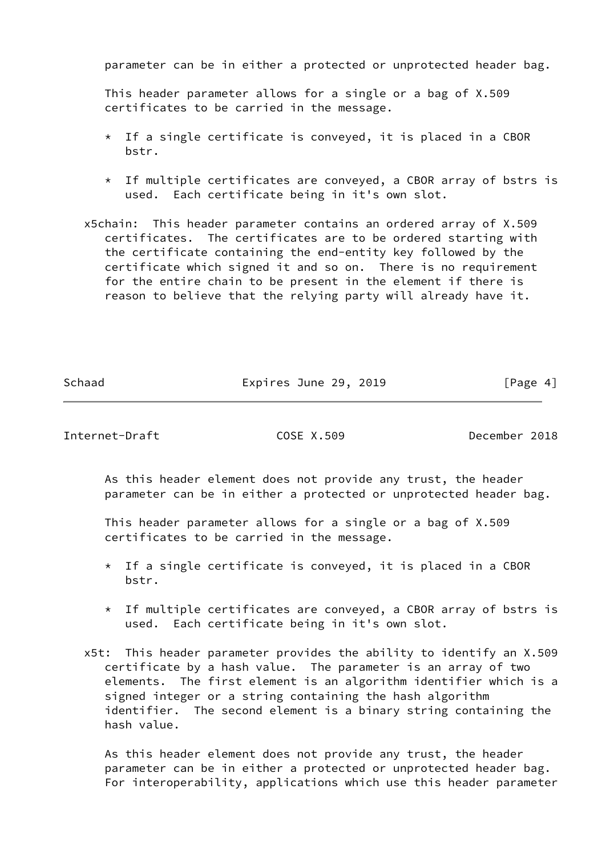parameter can be in either a protected or unprotected header bag.

 This header parameter allows for a single or a bag of X.509 certificates to be carried in the message.

- $*$  If a single certificate is conveyed, it is placed in a CBOR bstr.
- \* If multiple certificates are conveyed, a CBOR array of bstrs is used. Each certificate being in it's own slot.
- x5chain: This header parameter contains an ordered array of X.509 certificates. The certificates are to be ordered starting with the certificate containing the end-entity key followed by the certificate which signed it and so on. There is no requirement for the entire chain to be present in the element if there is reason to believe that the relying party will already have it.

Schaad **Expires June 29, 2019** [Page 4]

Internet-Draft COSE X.509 December 2018

 As this header element does not provide any trust, the header parameter can be in either a protected or unprotected header bag.

 This header parameter allows for a single or a bag of X.509 certificates to be carried in the message.

- $*$  If a single certificate is conveyed, it is placed in a CBOR bstr.
- \* If multiple certificates are conveyed, a CBOR array of bstrs is used. Each certificate being in it's own slot.
- x5t: This header parameter provides the ability to identify an X.509 certificate by a hash value. The parameter is an array of two elements. The first element is an algorithm identifier which is a signed integer or a string containing the hash algorithm identifier. The second element is a binary string containing the hash value.

 As this header element does not provide any trust, the header parameter can be in either a protected or unprotected header bag. For interoperability, applications which use this header parameter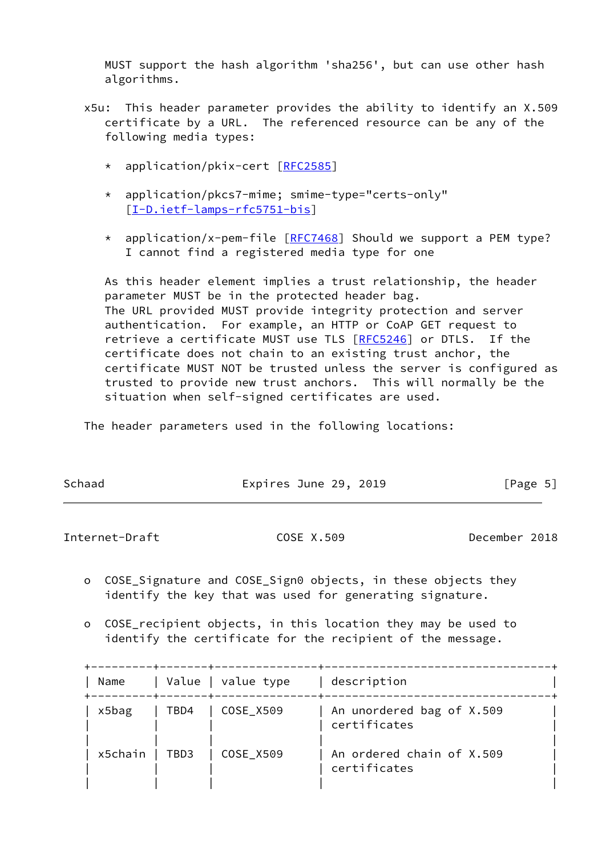MUST support the hash algorithm 'sha256', but can use other hash algorithms.

- x5u: This header parameter provides the ability to identify an X.509 certificate by a URL. The referenced resource can be any of the following media types:
	- \* application/pkix-cert [\[RFC2585](https://datatracker.ietf.org/doc/pdf/rfc2585)]
	- \* application/pkcs7-mime; smime-type="certs-only" [[I-D.ietf-lamps-rfc5751-bis\]](#page-10-2)
	- \* application/x-pem-file [\[RFC7468](https://datatracker.ietf.org/doc/pdf/rfc7468)] Should we support a PEM type? I cannot find a registered media type for one

 As this header element implies a trust relationship, the header parameter MUST be in the protected header bag. The URL provided MUST provide integrity protection and server authentication. For example, an HTTP or CoAP GET request to retrieve a certificate MUST use TLS [\[RFC5246](https://datatracker.ietf.org/doc/pdf/rfc5246)] or DTLS. If the certificate does not chain to an existing trust anchor, the certificate MUST NOT be trusted unless the server is configured as trusted to provide new trust anchors. This will normally be the situation when self-signed certificates are used.

The header parameters used in the following locations:

| Schaad | Expires June 29, 2019 | [Page 5] |
|--------|-----------------------|----------|
|        |                       |          |

<span id="page-5-0"></span>Internet-Draft COSE X.509 December 2018

- o COSE\_Signature and COSE\_Sign0 objects, in these objects they identify the key that was used for generating signature.
- o COSE\_recipient objects, in this location they may be used to identify the certificate for the recipient of the message.

|                           | -------+-------+---- |                    |                                           |
|---------------------------|----------------------|--------------------|-------------------------------------------|
| Name<br>--------+-------+ |                      | Value   value type | description                               |
| x5bag                     |                      | TBD4   COSE X509   | An unordered bag of X.509<br>certificates |
| x5chain                   | $\vert$ TBD3         | COSE X509          | An ordered chain of X.509<br>certificates |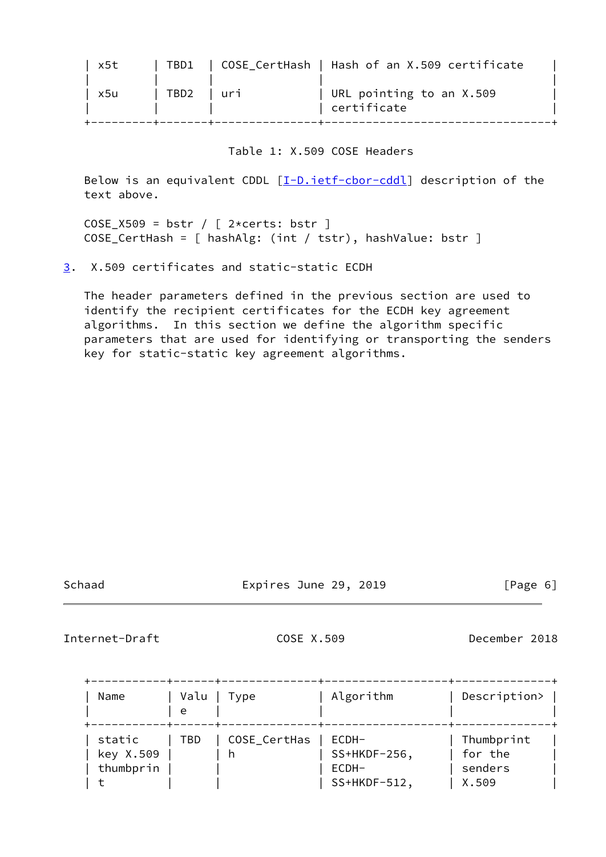| x5t |      |       | TBD1   COSE CertHash   Hash of an X.509 certificate |  |
|-----|------|-------|-----------------------------------------------------|--|
| x5u | TBD2 | l uri | URL pointing to an X.509<br>certificate             |  |
|     |      |       |                                                     |  |

### Table 1: X.509 COSE Headers

Below is an equivalent CDDL  $[\underline{I-D.ietf-cbor-cdd}]$  description of the text above.

 $COSE_}8509 = bstr / [2*certs: bstr ]$ COSE\_CertHash = [ hashAlg: (int / tstr), hashValue: bstr ]

<span id="page-6-0"></span>[3](#page-6-0). X.509 certificates and static-static ECDH

 The header parameters defined in the previous section are used to identify the recipient certificates for the ECDH key agreement algorithms. In this section we define the algorithm specific parameters that are used for identifying or transporting the senders key for static-static key agreement algorithms.

Schaad **Expires June 29, 2019** [Page 6]

<span id="page-6-1"></span>Internet-Draft COSE X.509 December 2018

| Name                             | Valu<br>e | Type         | Algorithm                         | Description>                     |
|----------------------------------|-----------|--------------|-----------------------------------|----------------------------------|
| static<br>key X.509<br>thumbprin | TBD       | COSE_CertHas | ECDH-<br>$SS+HKDF-256$ ,<br>ECDH- | Thumbprint<br>for the<br>senders |
|                                  |           |              | SS+HKDF-512,                      | X.509                            |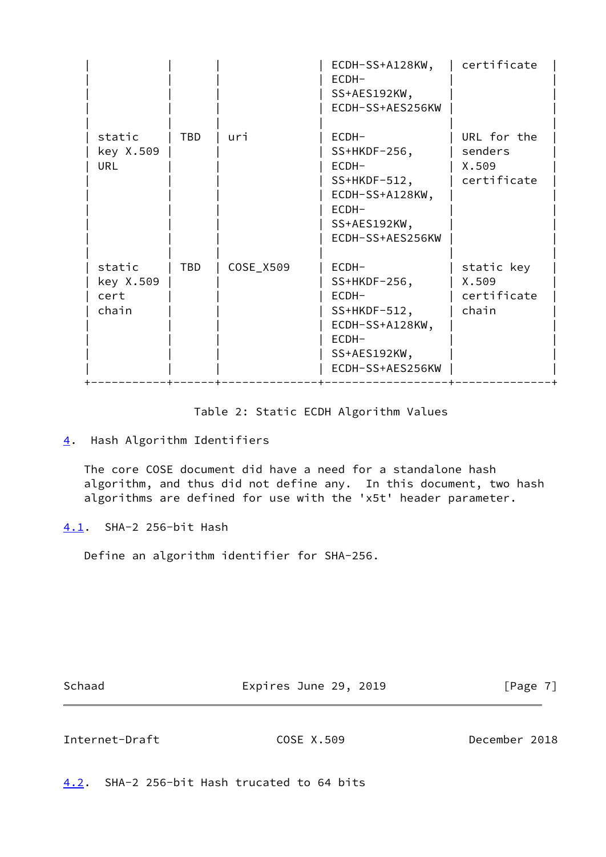|                                      |            |           | ECDH-SS+A128KW,<br>ECDH-<br>SS+AES192KW,<br>ECDH-SS+AES256KW                                                            | certificate                                    |
|--------------------------------------|------------|-----------|-------------------------------------------------------------------------------------------------------------------------|------------------------------------------------|
| static<br>key X.509<br>URL           | <b>TBD</b> | uri       | $ECDH-$<br>$SS+HKDF-256$ ,<br>ECDH-<br>$SS+HKDF-512,$<br>ECDH-SS+A128KW,<br>$ECDH-$<br>SS+AES192KW,<br>ECDH-SS+AES256KW | URL for the<br>senders<br>X.509<br>certificate |
| static<br>key X.509<br>cert<br>chain | TBD        | COSE_X509 | ECDH-<br>$SS+HKDF-256$ ,<br>ECDH-<br>$SS+HKDF-512,$<br>ECDH-SS+A128KW,<br>ECDH-<br>SS+AES192KW,<br>ECDH-SS+AES256KW     | static key<br>X.509<br>certificate<br>chain    |

Table 2: Static ECDH Algorithm Values

 The core COSE document did have a need for a standalone hash algorithm, and thus did not define any. In this document, two hash algorithms are defined for use with the 'x5t' header parameter.

<span id="page-7-1"></span>[4.1](#page-7-1). SHA-2 256-bit Hash

Define an algorithm identifier for SHA-256.

Schaad Expires June 29, 2019 [Page 7]

<span id="page-7-3"></span>Internet-Draft COSE X.509 December 2018

<span id="page-7-2"></span>[4.2](#page-7-2). SHA-2 256-bit Hash trucated to 64 bits

<span id="page-7-0"></span>[<sup>4</sup>](#page-7-0). Hash Algorithm Identifiers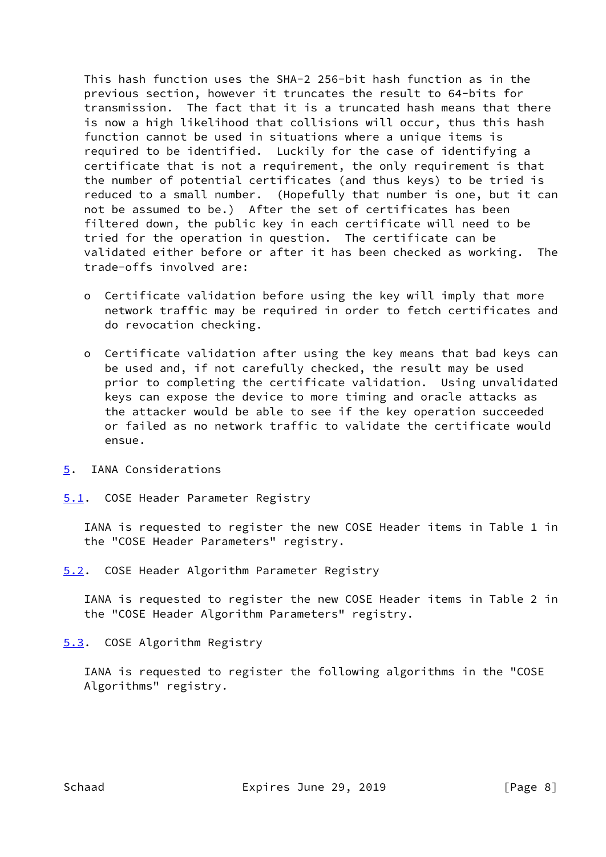This hash function uses the SHA-2 256-bit hash function as in the previous section, however it truncates the result to 64-bits for transmission. The fact that it is a truncated hash means that there is now a high likelihood that collisions will occur, thus this hash function cannot be used in situations where a unique items is required to be identified. Luckily for the case of identifying a certificate that is not a requirement, the only requirement is that the number of potential certificates (and thus keys) to be tried is reduced to a small number. (Hopefully that number is one, but it can not be assumed to be.) After the set of certificates has been filtered down, the public key in each certificate will need to be tried for the operation in question. The certificate can be validated either before or after it has been checked as working. The trade-offs involved are:

- o Certificate validation before using the key will imply that more network traffic may be required in order to fetch certificates and do revocation checking.
- o Certificate validation after using the key means that bad keys can be used and, if not carefully checked, the result may be used prior to completing the certificate validation. Using unvalidated keys can expose the device to more timing and oracle attacks as the attacker would be able to see if the key operation succeeded or failed as no network traffic to validate the certificate would ensue.
- <span id="page-8-0"></span>[5](#page-8-0). IANA Considerations
- <span id="page-8-1"></span>[5.1](#page-8-1). COSE Header Parameter Registry

 IANA is requested to register the new COSE Header items in Table 1 in the "COSE Header Parameters" registry.

<span id="page-8-2"></span>[5.2](#page-8-2). COSE Header Algorithm Parameter Registry

 IANA is requested to register the new COSE Header items in Table 2 in the "COSE Header Algorithm Parameters" registry.

<span id="page-8-3"></span>[5.3](#page-8-3). COSE Algorithm Registry

 IANA is requested to register the following algorithms in the "COSE Algorithms" registry.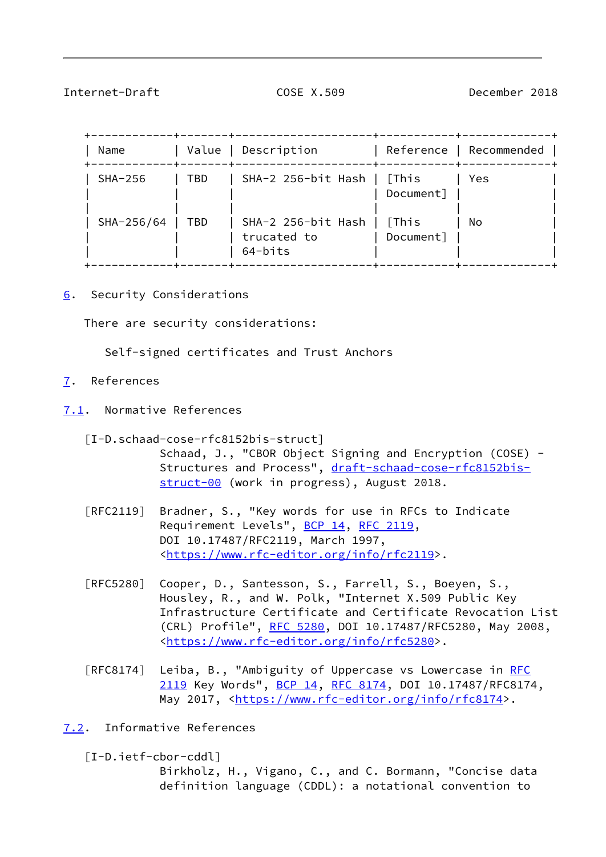## <span id="page-9-1"></span>Internet-Draft COSE X.509 December 2018

| Name       | -------<br>Value<br>--+-------+---- | Description                                  | -+----------+            | Reference   Recommended |
|------------|-------------------------------------|----------------------------------------------|--------------------------|-------------------------|
| $SHA-256$  | TBD                                 | SHA-2 256-bit Hash   [This                   | Document]                | Yes.                    |
| SHA-256/64 | TBD                                 | SHA-2 256-bit Hash<br>trucated to<br>64-bits | <b>This</b><br>Document] | No                      |

<span id="page-9-0"></span>[6](#page-9-0). Security Considerations

There are security considerations:

Self-signed certificates and Trust Anchors

- <span id="page-9-2"></span>[7](#page-9-2). References
- <span id="page-9-3"></span>[7.1](#page-9-3). Normative References

 [I-D.schaad-cose-rfc8152bis-struct] Schaad, J., "CBOR Object Signing and Encryption (COSE) Structures and Process", [draft-schaad-cose-rfc8152bis](https://datatracker.ietf.org/doc/pdf/draft-schaad-cose-rfc8152bis-struct-00) [struct-00](https://datatracker.ietf.org/doc/pdf/draft-schaad-cose-rfc8152bis-struct-00) (work in progress), August 2018.

- [RFC2119] Bradner, S., "Key words for use in RFCs to Indicate Requirement Levels", [BCP 14](https://datatracker.ietf.org/doc/pdf/bcp14), [RFC 2119](https://datatracker.ietf.org/doc/pdf/rfc2119), DOI 10.17487/RFC2119, March 1997, <[https://www.rfc-editor.org/info/rfc2119>](https://www.rfc-editor.org/info/rfc2119).
- [RFC5280] Cooper, D., Santesson, S., Farrell, S., Boeyen, S., Housley, R., and W. Polk, "Internet X.509 Public Key Infrastructure Certificate and Certificate Revocation List (CRL) Profile", [RFC 5280,](https://datatracker.ietf.org/doc/pdf/rfc5280) DOI 10.17487/RFC5280, May 2008, <[https://www.rfc-editor.org/info/rfc5280>](https://www.rfc-editor.org/info/rfc5280).
- [RFC8174] Leiba, B., "Ambiguity of Uppercase vs Lowercase in [RFC](https://datatracker.ietf.org/doc/pdf/rfc2119) [2119](https://datatracker.ietf.org/doc/pdf/rfc2119) Key Words", [BCP 14](https://datatracker.ietf.org/doc/pdf/bcp14), [RFC 8174,](https://datatracker.ietf.org/doc/pdf/rfc8174) DOI 10.17487/RFC8174, May 2017, [<https://www.rfc-editor.org/info/rfc8174](https://www.rfc-editor.org/info/rfc8174)>.
- <span id="page-9-4"></span>[7.2](#page-9-4). Informative References

<span id="page-9-5"></span> [I-D.ietf-cbor-cddl] Birkholz, H., Vigano, C., and C. Bormann, "Concise data definition language (CDDL): a notational convention to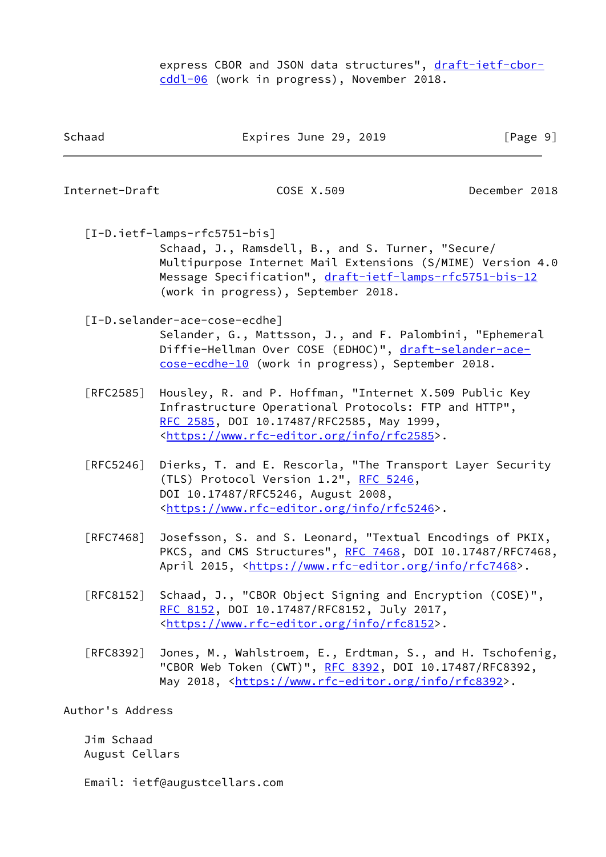express CBOR and JSON data structures", [draft-ietf-cbor](https://datatracker.ietf.org/doc/pdf/draft-ietf-cbor-cddl-06) [cddl-06](https://datatracker.ietf.org/doc/pdf/draft-ietf-cbor-cddl-06) (work in progress), November 2018.

Schaad Expires June 29, 2019 [Page 9]

<span id="page-10-2"></span><span id="page-10-1"></span><span id="page-10-0"></span>

| Internet-Draft    | COSE X.509                                                                                                                                                                                                                                        | December 2018 |
|-------------------|---------------------------------------------------------------------------------------------------------------------------------------------------------------------------------------------------------------------------------------------------|---------------|
|                   | [I-D.ietf-lamps-rfc5751-bis]<br>Schaad, J., Ramsdell, B., and S. Turner, "Secure/<br>Multipurpose Internet Mail Extensions (S/MIME) Version 4.0<br>Message Specification", draft-ietf-lamps-rfc5751-bis-12<br>(work in progress), September 2018. |               |
|                   | [I-D.selander-ace-cose-ecdhe]<br>Selander, G., Mattsson, J., and F. Palombini, "Ephemeral<br>Diffie-Hellman Over COSE (EDHOC)", draft-selander-ace-<br>cose-ecdhe-10 (work in progress), September 2018.                                          |               |
| [RFC2585]         | Housley, R. and P. Hoffman, "Internet X.509 Public Key<br>Infrastructure Operational Protocols: FTP and HTTP",<br>RFC 2585, DOI 10.17487/RFC2585, May 1999,<br><https: info="" rfc2585="" www.rfc-editor.org="">.</https:>                        |               |
| $\lceil$ RFC5246] | Dierks, T. and E. Rescorla, "The Transport Layer Security<br>(TLS) Protocol Version 1.2", RFC 5246,<br>DOI 10.17487/RFC5246, August 2008,<br><https: info="" rfc5246="" www.rfc-editor.org="">.</https:>                                          |               |
| [RFC7468]         | Josefsson, S. and S. Leonard, "Textual Encodings of PKIX,<br>PKCS, and CMS Structures", RFC 7468, DOI 10.17487/RFC7468,<br>April 2015, <https: info="" rfc7468="" www.rfc-editor.org="">.</https:>                                                |               |
| [RFC8152]         | Schaad, J., "CBOR Object Signing and Encryption (COSE)",<br>RFC 8152, DOI 10.17487/RFC8152, July 2017,<br><https: info="" rfc8152="" www.rfc-editor.org="">.</https:>                                                                             |               |
| [RFC8392]         | Jones, M., Wahlstroem, E., Erdtman, S., and H. Tschofenig,<br>"CBOR Web Token (CWT)", RFC 8392, DOI 10.17487/RFC8392,                                                                                                                             |               |

May 2018, [<https://www.rfc-editor.org/info/rfc8392](https://www.rfc-editor.org/info/rfc8392)>.

Author's Address

 Jim Schaad August Cellars

Email: ietf@augustcellars.com